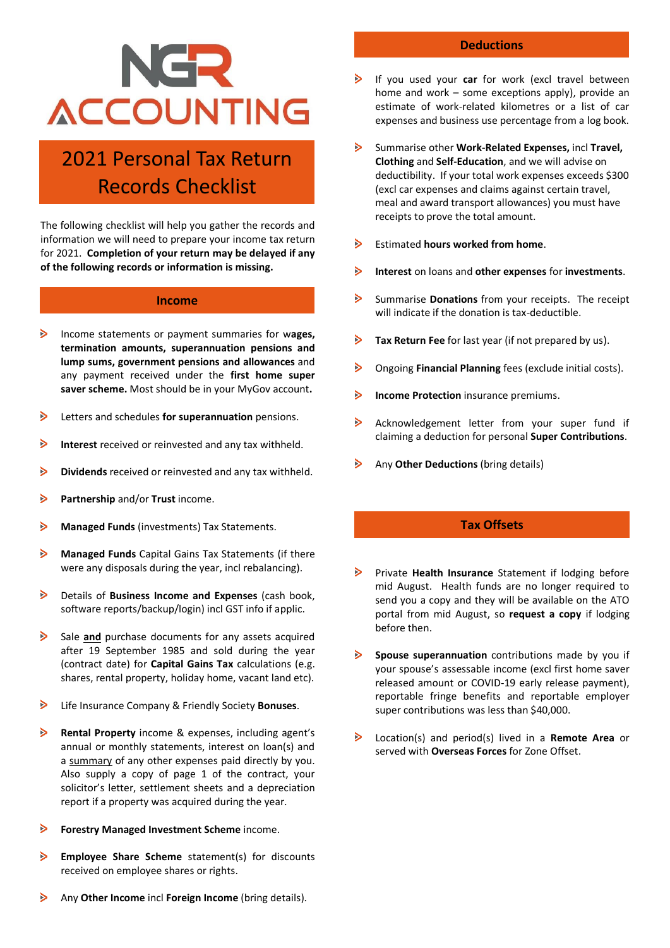# NGR **ACCOUNTING**

## 2021 Personal Tax Return Records Checklist

The following checklist will help you gather the records and information we will need to prepare your income tax return for 2021. **Completion of your return may be delayed if any of the following records or information is missing.**

#### **Income**

- ⋗ Income statements or payment summaries for w**ages, termination amounts, superannuation pensions and lump sums, government pensions and allowances** and any payment received under the **first home super saver scheme.** Most should be in your MyGov account**.**
- $\triangleright$ Letters and schedules **for superannuation** pensions.
- $\triangleright$ **Interest** received or reinvested and any tax withheld.
- $\triangleright$ **Dividends** received or reinvested and any tax withheld.
- **Partnership** and/or **Trust** income. ⋗
- Ъ **Managed Funds** (investments) Tax Statements.
- $\triangleright$ **Managed Funds** Capital Gains Tax Statements (if there were any disposals during the year, incl rebalancing).
- $\triangleright$ Details of **Business Income and Expenses** (cash book, software reports/backup/login) incl GST info if applic.
- $\triangleright$ Sale **and** purchase documents for any assets acquired after 19 September 1985 and sold during the year (contract date) for **Capital Gains Tax** calculations (e.g. shares, rental property, holiday home, vacant land etc).
- $\triangleright$ Life Insurance Company & Friendly Society **Bonuses**.
- $\geq$ **Rental Property** income & expenses, including agent's annual or monthly statements, interest on loan(s) and a summary of any other expenses paid directly by you. Also supply a copy of page 1 of the contract, your solicitor's letter, settlement sheets and a depreciation report if a property was acquired during the year.
- $\triangleright$ **Forestry Managed Investment Scheme** income.
- $\triangleright$ **Employee Share Scheme** statement(s) for discounts received on employee shares or rights.
- $\triangleright$ Any **Other Income** incl **Foreign Income** (bring details).

#### **Deductions**

- If you used your **car** for work (excl travel between home and work – some exceptions apply), provide an estimate of work-related kilometres or a list of car expenses and business use percentage from a log book.
- $\triangleright$ Summarise other **Work-Related Expenses,** incl **Travel, Clothing** and **Self-Education**, and we will advise on deductibility. If your total work expenses exceeds \$300 (excl car expenses and claims against certain travel, meal and award transport allowances) you must have receipts to prove the total amount.
- $\triangleright$ Estimated **hours worked from home**.
- $\triangleright$ **Interest** on loans and **other expenses** for **investments**.
- $\triangleright$ Summarise **Donations** from your receipts.The receipt will indicate if the donation is tax-deductible.
- $\triangleright$ **Tax Return Fee** for last year (if not prepared by us).
- $\triangleright$ Ongoing **Financial Planning** fees (exclude initial costs).
- ⋗ **Income Protection** insurance premiums.
- $\triangleright$ Acknowledgement letter from your super fund if claiming a deduction for personal **Super Contributions**.
- $\triangleright$ Any **Other Deductions** (bring details)

#### **Tax Offsets**

- $\triangleright$ Private **Health Insurance** Statement if lodging before mid August. Health funds are no longer required to send you a copy and they will be available on the ATO portal from mid August, so **request a copy** if lodging before then.
- $\triangleright$ **Spouse superannuation** contributions made by you if your spouse's assessable income (excl first home saver released amount or COVID-19 early release payment), reportable fringe benefits and reportable employer super contributions was less than \$40,000.
- $\triangleright$ Location(s) and period(s) lived in a **Remote Area** or served with **Overseas Forces** for Zone Offset.